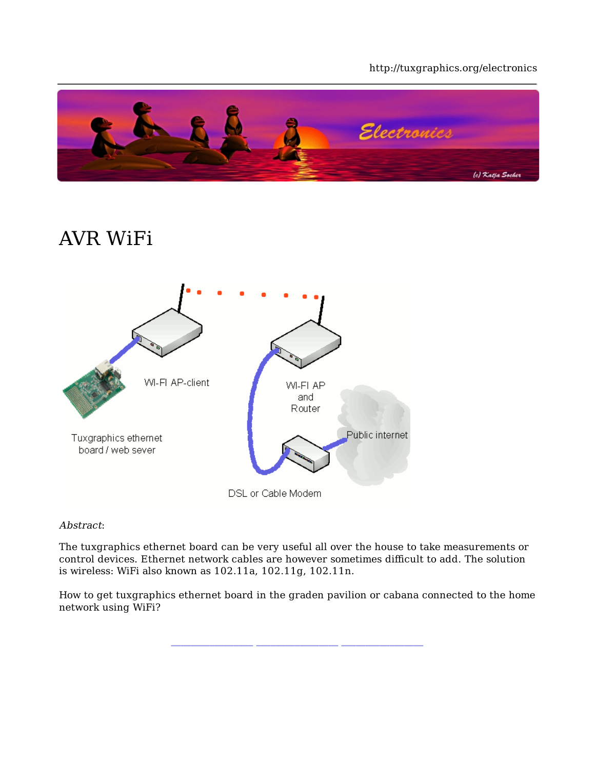#### http://tuxgraphics.org/electronics



## AVR WiFi



#### Abstract:

The tuxgraphics ethernet board can be very useful all over the house to take measurements or control devices. Ethernet network cables are however sometimes difficult to add. The solution is wireless: WiFi also known as 102.11a, 102.11g, 102.11n.

How to get tuxgraphics ethernet board in the graden pavilion or cabana connected to the home network using WiFi?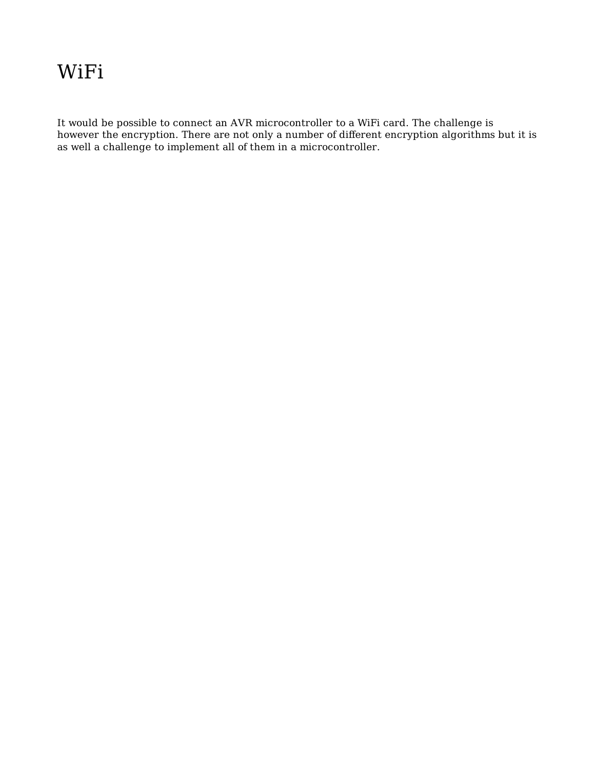### WiFi

It would be possible to connect an AVR microcontroller to a WiFi card. The challenge is however the encryption. There are not only a number of different encryption algorithms but it is as well a challenge to implement all of them in a microcontroller.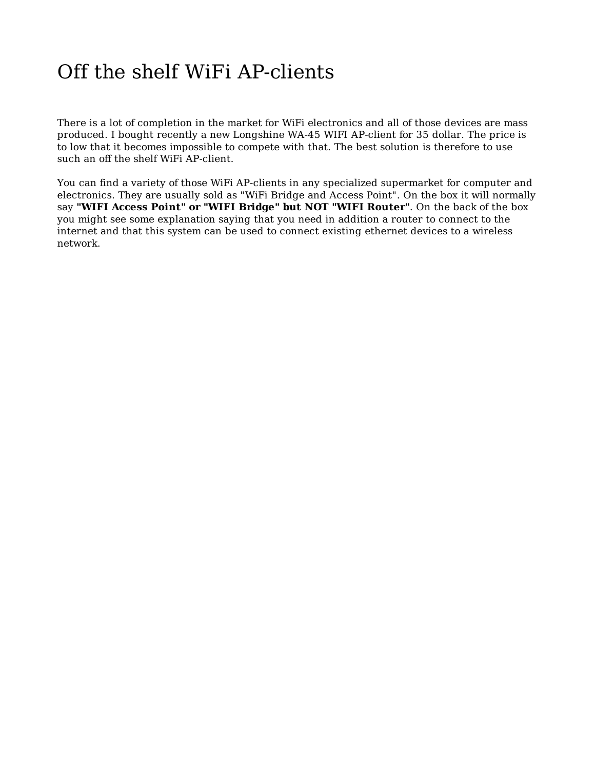## Off the shelf WiFi AP-clients

There is a lot of completion in the market for WiFi electronics and all of those devices are mass produced. I bought recently a new Longshine WA-45 WIFI AP-client for 35 dollar. The price is to low that it becomes impossible to compete with that. The best solution is therefore to use such an off the shelf WiFi AP-client.

You can find a variety of those WiFi AP-clients in any specialized supermarket for computer and electronics. They are usually sold as "WiFi Bridge and Access Point". On the box it will normally say **"WIFI Access Point" or "WIFI Bridge" but NOT "WIFI Router"**. On the back of the box you might see some explanation saying that you need in addition a router to connect to the internet and that this system can be used to connect existing ethernet devices to a wireless network.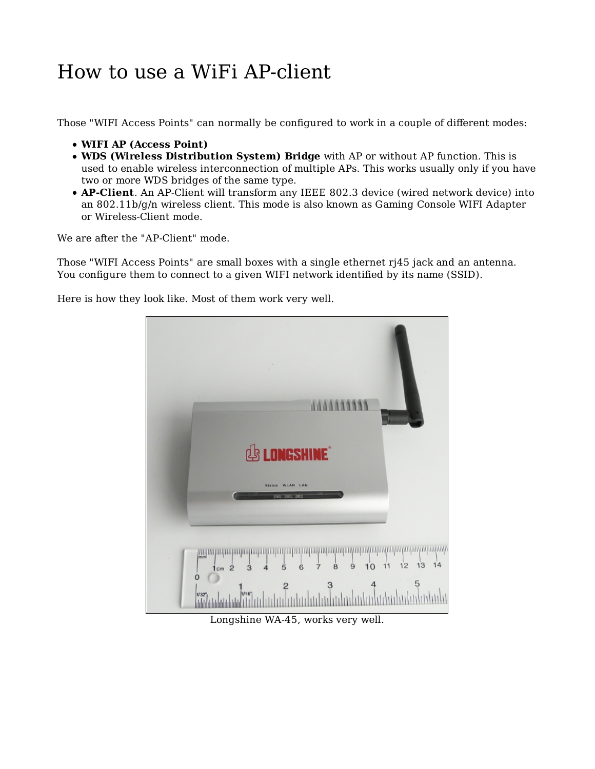## How to use a WiFi AP-client

Those "WIFI Access Points" can normally be configured to work in a couple of different modes:

- **WIFI AP (Access Point)**
- **WDS (Wireless Distribution System) Bridge** with AP or without AP function. This is used to enable wireless interconnection of multiple APs. This works usually only if you have two or more WDS bridges of the same type.
- **AP-Client**. An AP-Client will transform any IEEE 802.3 device (wired network device) into an 802.11b/g/n wireless client. This mode is also known as Gaming Console WIFI Adapter or Wireless-Client mode.

We are after the "AP-Client" mode.

Those "WIFI Access Points" are small boxes with a single ethernet rj45 jack and an antenna. You configure them to connect to a given WIFI network identified by its name (SSID).

Here is how they look like. Most of them work very well.



Longshine WA-45, works very well.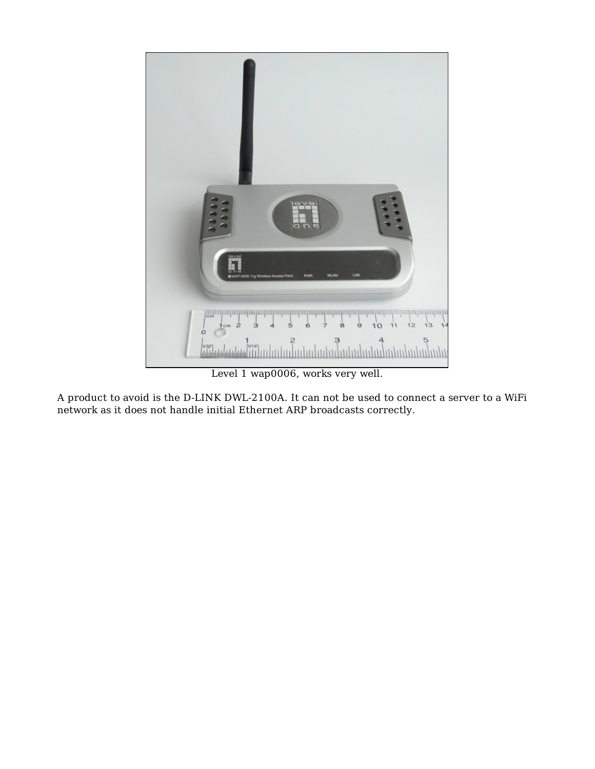![](_page_4_Picture_0.jpeg)

Level 1 wap0006, works very well.

A product to avoid is the D-LINK DWL-2100A. It can not be used to connect a server to a WiFi network as it does not handle initial Ethernet ARP broadcasts correctly.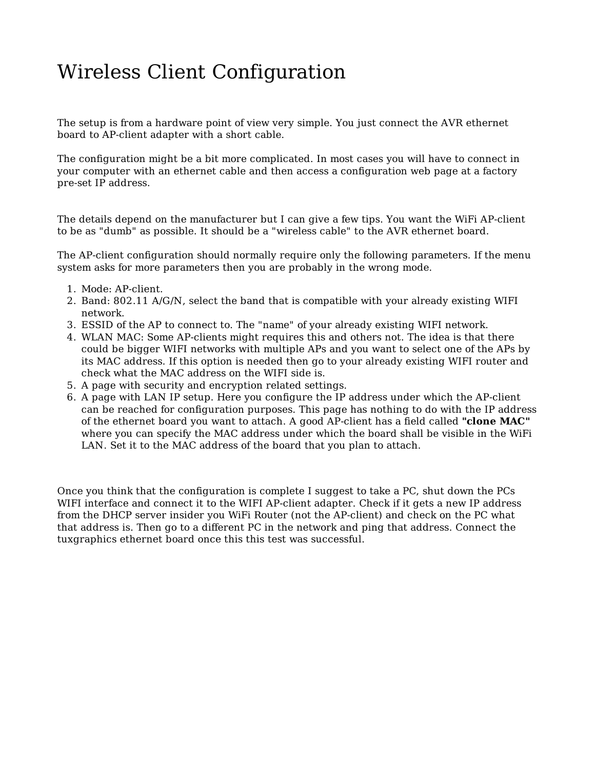## Wireless Client Configuration

The setup is from a hardware point of view very simple. You just connect the AVR ethernet board to AP-client adapter with a short cable.

The configuration might be a bit more complicated. In most cases you will have to connect in your computer with an ethernet cable and then access a configuration web page at a factory pre-set IP address.

The details depend on the manufacturer but I can give a few tips. You want the WiFi AP-client to be as "dumb" as possible. It should be a "wireless cable" to the AVR ethernet board.

The AP-client configuration should normally require only the following parameters. If the menu system asks for more parameters then you are probably in the wrong mode.

- 1. Mode: AP-client.
- 2. Band: 802.11 A/G/N, select the band that is compatible with your already existing WIFI network.
- 3. ESSID of the AP to connect to. The "name" of your already existing WIFI network.
- WLAN MAC: Some AP-clients might requires this and others not. The idea is that there 4. could be bigger WIFI networks with multiple APs and you want to select one of the APs by its MAC address. If this option is needed then go to your already existing WIFI router and check what the MAC address on the WIFI side is.
- 5. A page with security and encryption related settings.
- 6. A page with LAN IP setup. Here you configure the IP address under which the AP-client can be reached for configuration purposes. This page has nothing to do with the IP address of the ethernet board you want to attach. A good AP-client has a field called **"clone MAC"** where you can specify the MAC address under which the board shall be visible in the WiFi LAN. Set it to the MAC address of the board that you plan to attach.

Once you think that the configuration is complete I suggest to take a PC, shut down the PCs WIFI interface and connect it to the WIFI AP-client adapter. Check if it gets a new IP address from the DHCP server insider you WiFi Router (not the AP-client) and check on the PC what that address is. Then go to a different PC in the network and ping that address. Connect the tuxgraphics ethernet board once this this test was successful.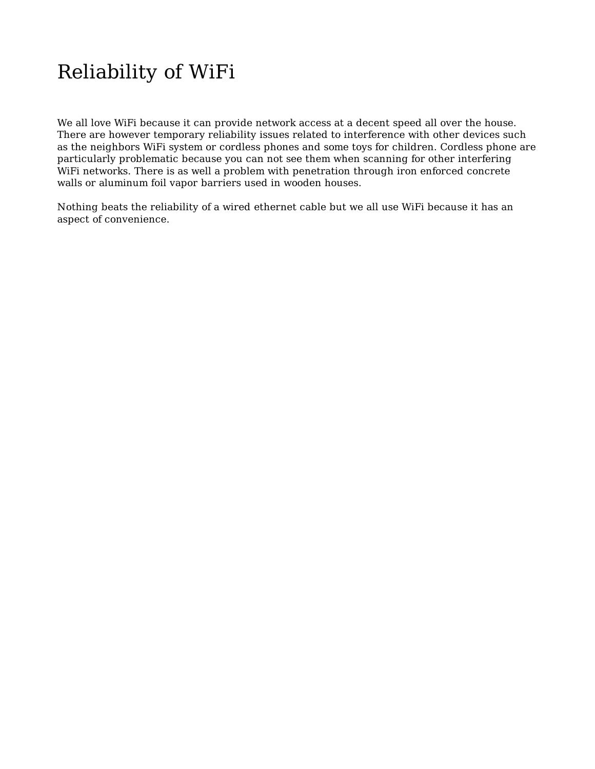# Reliability of WiFi

We all love WiFi because it can provide network access at a decent speed all over the house. There are however temporary reliability issues related to interference with other devices such as the neighbors WiFi system or cordless phones and some toys for children. Cordless phone are particularly problematic because you can not see them when scanning for other interfering WiFi networks. There is as well a problem with penetration through iron enforced concrete walls or aluminum foil vapor barriers used in wooden houses.

Nothing beats the reliability of a wired ethernet cable but we all use WiFi because it has an aspect of convenience.